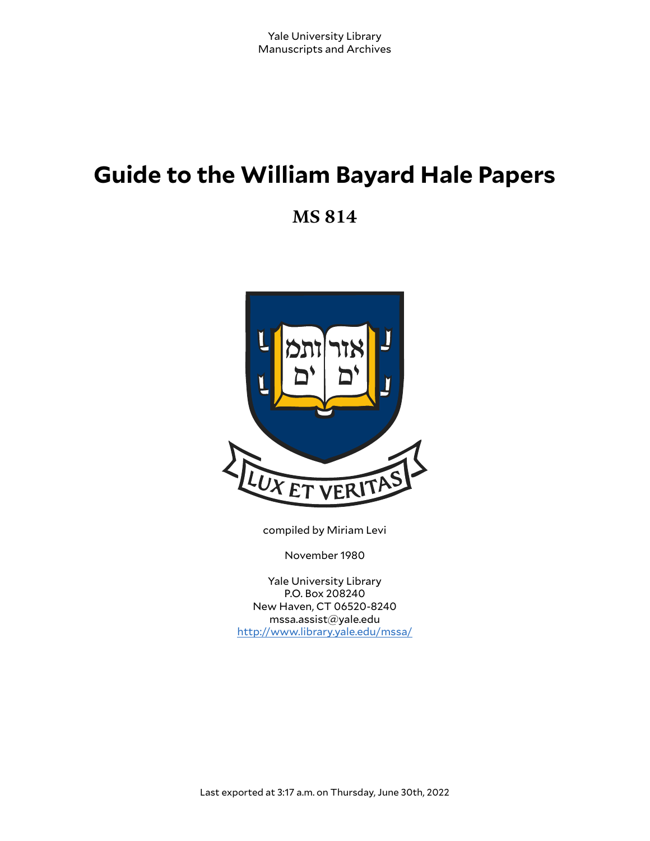# **Guide to the William Bayard Hale Papers**

**MS 814**



compiled by Miriam Levi

November 1980

Yale University Library P.O. Box 208240 New Haven, CT 06520-8240 mssa.assist@yale.edu <http://www.library.yale.edu/mssa/>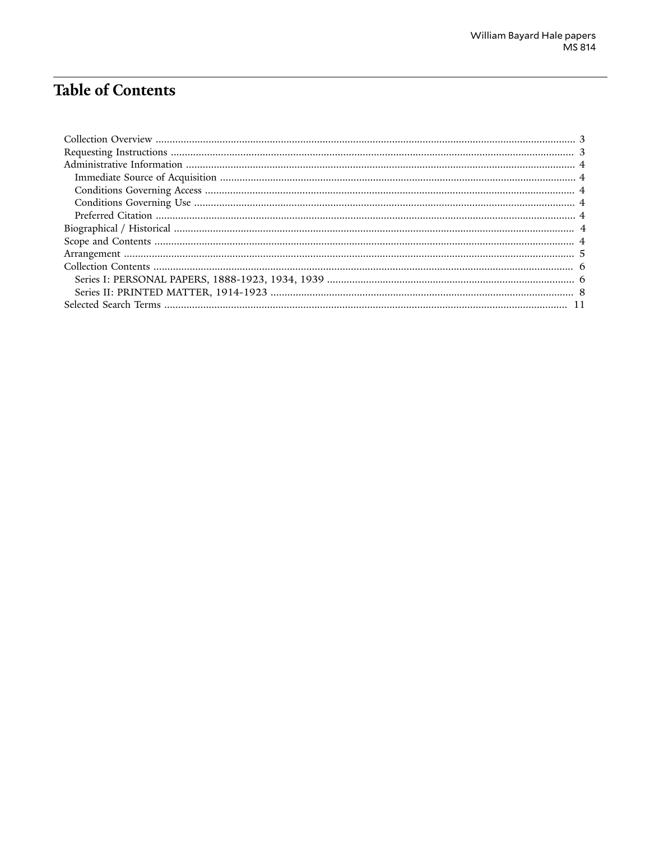## **Table of Contents**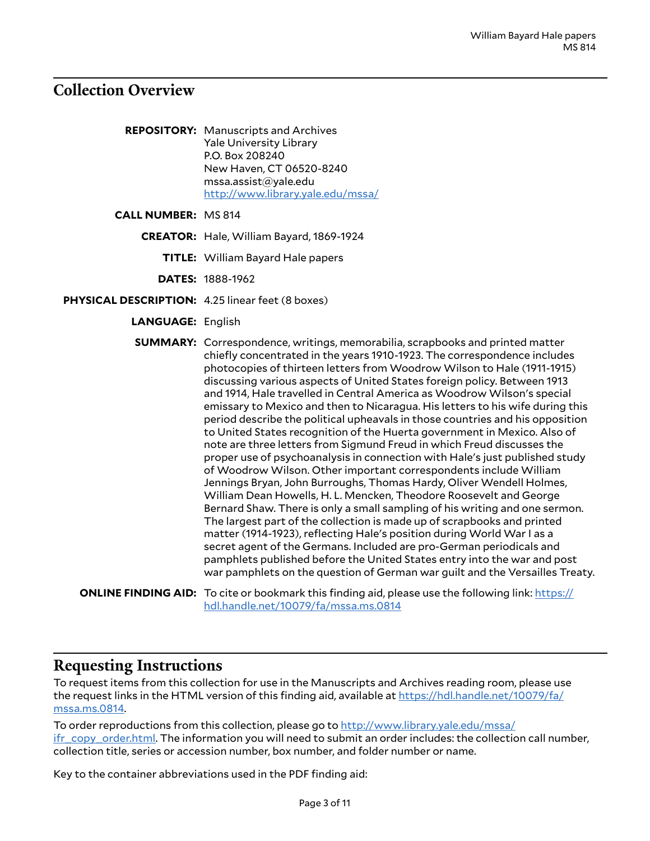### <span id="page-2-0"></span>**Collection Overview**

**REPOSITORY:** Manuscripts and Archives Yale University Library P.O. Box 208240 New Haven, CT 06520-8240 mssa.assist@yale.edu <http://www.library.yale.edu/mssa/>

**CALL NUMBER:** MS 814

**CREATOR:** Hale, William Bayard, 1869-1924

**TITLE:** William Bayard Hale papers

**DATES:** 1888-1962

- **PHYSICAL DESCRIPTION:** 4.25 linear feet (8 boxes)
	- **LANGUAGE:** English

**SUMMARY:** Correspondence, writings, memorabilia, scrapbooks and printed matter chiefly concentrated in the years 1910-1923. The correspondence includes photocopies of thirteen letters from Woodrow Wilson to Hale (1911-1915) discussing various aspects of United States foreign policy. Between 1913 and 1914, Hale travelled in Central America as Woodrow Wilson's special emissary to Mexico and then to Nicaragua. His letters to his wife during this period describe the political upheavals in those countries and his opposition to United States recognition of the Huerta government in Mexico. Also of note are three letters from Sigmund Freud in which Freud discusses the proper use of psychoanalysis in connection with Hale's just published study of Woodrow Wilson. Other important correspondents include William Jennings Bryan, John Burroughs, Thomas Hardy, Oliver Wendell Holmes, William Dean Howells, H. L. Mencken, Theodore Roosevelt and George Bernard Shaw. There is only a small sampling of his writing and one sermon. The largest part of the collection is made up of scrapbooks and printed matter (1914-1923), reflecting Hale's position during World War I as a secret agent of the Germans. Included are pro-German periodicals and pamphlets published before the United States entry into the war and post war pamphlets on the question of German war guilt and the Versailles Treaty.

**ONLINE FINDING AID:** To cite or bookmark this finding aid, please use the following link: [https://](https://hdl.handle.net/10079/fa/mssa.ms.0814) [hdl.handle.net/10079/fa/mssa.ms.0814](https://hdl.handle.net/10079/fa/mssa.ms.0814)

### <span id="page-2-1"></span>**Requesting Instructions**

To request items from this collection for use in the Manuscripts and Archives reading room, please use the request links in the HTML version of this finding aid, available at [https://hdl.handle.net/10079/fa/](https://hdl.handle.net/10079/fa/mssa.ms.0814) [mssa.ms.0814](https://hdl.handle.net/10079/fa/mssa.ms.0814).

To order reproductions from this collection, please go to [http://www.library.yale.edu/mssa/](http://www.library.yale.edu/mssa/ifr_copy_order.html) [ifr\\_copy\\_order.html.](http://www.library.yale.edu/mssa/ifr_copy_order.html) The information you will need to submit an order includes: the collection call number, collection title, series or accession number, box number, and folder number or name.

Key to the container abbreviations used in the PDF finding aid: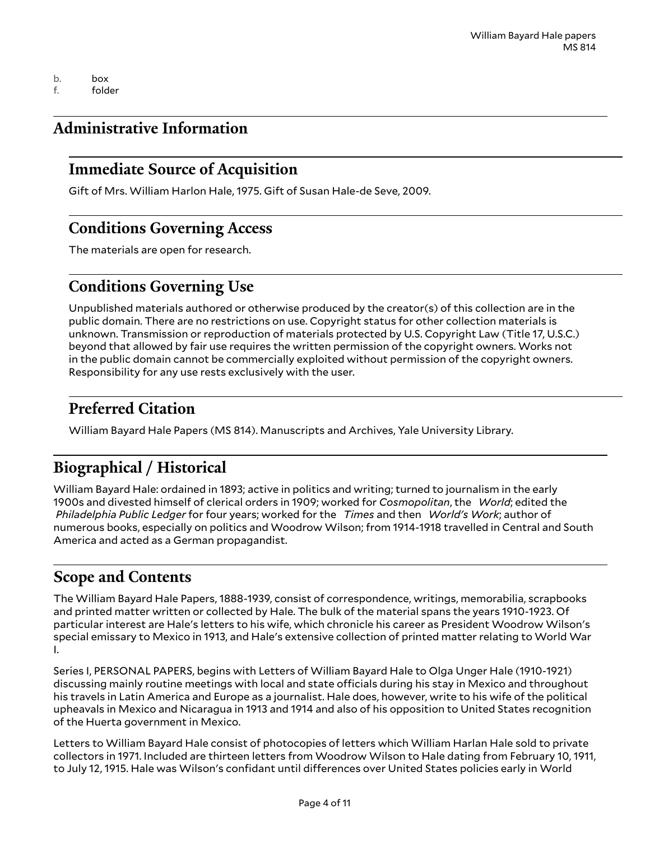b. box f. folder

### <span id="page-3-0"></span>**Administrative Information**

### <span id="page-3-1"></span>**Immediate Source of Acquisition**

Gift of Mrs. William Harlon Hale, 1975. Gift of Susan Hale-de Seve, 2009.

### <span id="page-3-2"></span>**Conditions Governing Access**

The materials are open for research.

### <span id="page-3-3"></span>**Conditions Governing Use**

Unpublished materials authored or otherwise produced by the creator(s) of this collection are in the public domain. There are no restrictions on use. Copyright status for other collection materials is unknown. Transmission or reproduction of materials protected by U.S. Copyright Law (Title 17, U.S.C.) beyond that allowed by fair use requires the written permission of the copyright owners. Works not in the public domain cannot be commercially exploited without permission of the copyright owners. Responsibility for any use rests exclusively with the user.

### <span id="page-3-4"></span>**Preferred Citation**

William Bayard Hale Papers (MS 814). Manuscripts and Archives, Yale University Library.

### <span id="page-3-5"></span>**Biographical / Historical**

William Bayard Hale: ordained in 1893; active in politics and writing; turned to journalism in the early 1900s and divested himself of clerical orders in 1909; worked for *Cosmopolitan*, the *World*; edited the *Philadelphia Public Ledger* for four years; worked for the *Times* and then *World's Work*; author of numerous books, especially on politics and Woodrow Wilson; from 1914-1918 travelled in Central and South America and acted as a German propagandist.

### <span id="page-3-6"></span>**Scope and Contents**

The William Bayard Hale Papers, 1888-1939, consist of correspondence, writings, memorabilia, scrapbooks and printed matter written or collected by Hale. The bulk of the material spans the years 1910-1923. Of particular interest are Hale's letters to his wife, which chronicle his career as President Woodrow Wilson's special emissary to Mexico in 1913, and Hale's extensive collection of printed matter relating to World War I.

Series I, PERSONAL PAPERS, begins with Letters of William Bayard Hale to Olga Unger Hale (1910-1921) discussing mainly routine meetings with local and state officials during his stay in Mexico and throughout his travels in Latin America and Europe as a journalist. Hale does, however, write to his wife of the political upheavals in Mexico and Nicaragua in 1913 and 1914 and also of his opposition to United States recognition of the Huerta government in Mexico.

Letters to William Bayard Hale consist of photocopies of letters which William Harlan Hale sold to private collectors in 1971. Included are thirteen letters from Woodrow Wilson to Hale dating from February 10, 1911, to July 12, 1915. Hale was Wilson's confidant until differences over United States policies early in World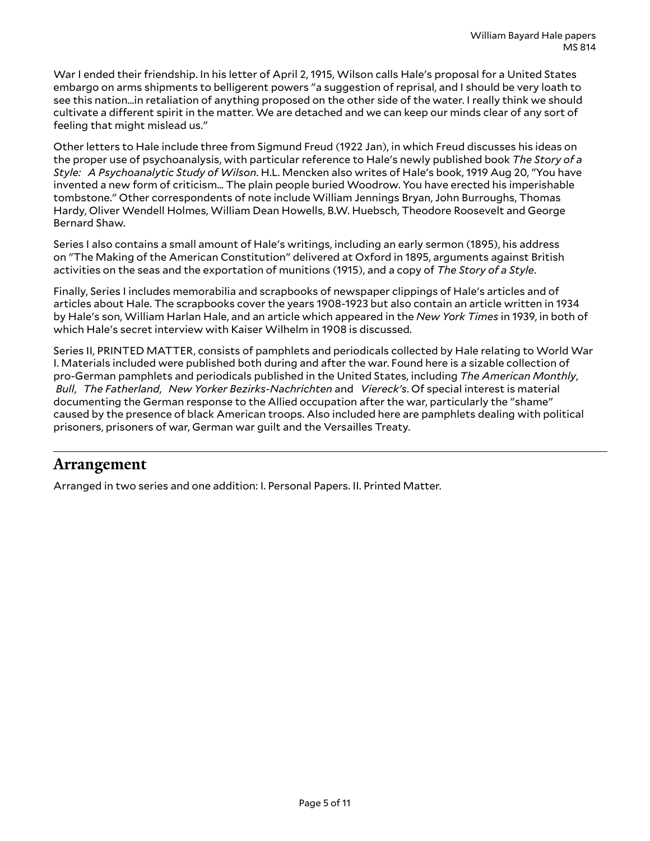War I ended their friendship. In his letter of April 2, 1915, Wilson calls Hale's proposal for a United States embargo on arms shipments to belligerent powers "a suggestion of reprisal, and I should be very loath to see this nation...in retaliation of anything proposed on the other side of the water. I really think we should cultivate a different spirit in the matter. We are detached and we can keep our minds clear of any sort of feeling that might mislead us."

Other letters to Hale include three from Sigmund Freud (1922 Jan), in which Freud discusses his ideas on the proper use of psychoanalysis, with particular reference to Hale's newly published book *The Story of a Style: A Psychoanalytic Study of Wilson*. H.L. Mencken also writes of Hale's book, 1919 Aug 20, "You have invented a new form of criticism... The plain people buried Woodrow. You have erected his imperishable tombstone." Other correspondents of note include William Jennings Bryan, John Burroughs, Thomas Hardy, Oliver Wendell Holmes, William Dean Howells, B.W. Huebsch, Theodore Roosevelt and George Bernard Shaw.

Series I also contains a small amount of Hale's writings, including an early sermon (1895), his address on "The Making of the American Constitution" delivered at Oxford in 1895, arguments against British activities on the seas and the exportation of munitions (1915), and a copy of *The Story of a Style*.

Finally, Series I includes memorabilia and scrapbooks of newspaper clippings of Hale's articles and of articles about Hale. The scrapbooks cover the years 1908-1923 but also contain an article written in 1934 by Hale's son, William Harlan Hale, and an article which appeared in the *New York Times* in 1939, in both of which Hale's secret interview with Kaiser Wilhelm in 1908 is discussed.

Series II, PRINTED MATTER, consists of pamphlets and periodicals collected by Hale relating to World War I. Materials included were published both during and after the war. Found here is a sizable collection of pro-German pamphlets and periodicals published in the United States, including *The American Monthly*,  *Bull*, *The Fatherland*, *New Yorker Bezirks-Nachrichten* and *Viereck's*. Of special interest is material documenting the German response to the Allied occupation after the war, particularly the "shame" caused by the presence of black American troops. Also included here are pamphlets dealing with political prisoners, prisoners of war, German war guilt and the Versailles Treaty.

### <span id="page-4-0"></span>**Arrangement**

Arranged in two series and one addition: I. Personal Papers. II. Printed Matter.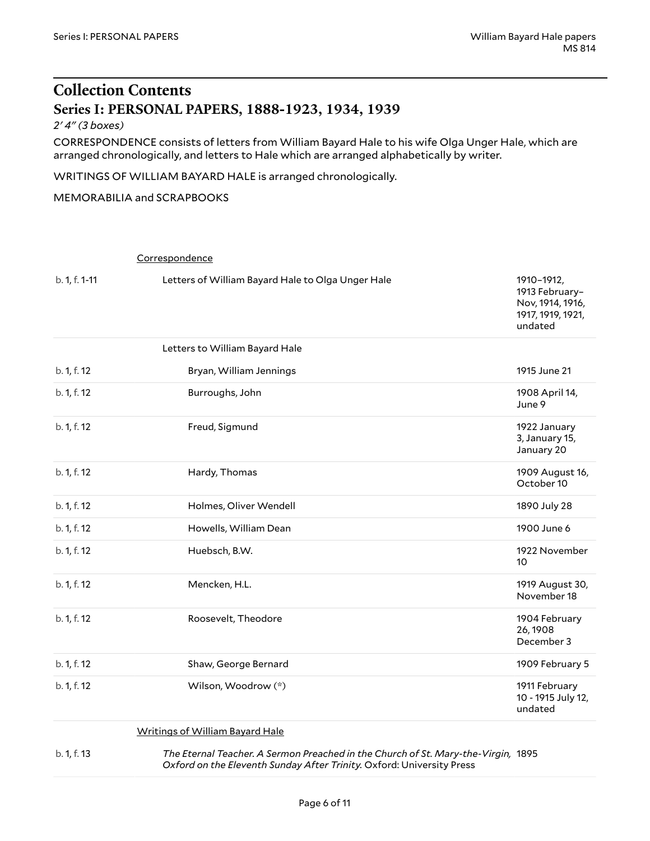### <span id="page-5-0"></span>**Collection Contents Series I: PERSONAL PAPERS, 1888-1923, 1934, 1939**

#### <span id="page-5-1"></span>*2' 4" (3 boxes)*

CORRESPONDENCE consists of letters from William Bayard Hale to his wife Olga Unger Hale, which are arranged chronologically, and letters to Hale which are arranged alphabetically by writer.

WRITINGS OF WILLIAM BAYARD HALE is arranged chronologically.

#### MEMORABILIA and SCRAPBOOKS

#### Correspondence

| b. 1, f. 1-11 | Letters of William Bayard Hale to Olga Unger Hale                                                                                         | 1910-1912,<br>1913 February-<br>Nov, 1914, 1916,<br>1917, 1919, 1921,<br>undated |
|---------------|-------------------------------------------------------------------------------------------------------------------------------------------|----------------------------------------------------------------------------------|
|               | Letters to William Bayard Hale                                                                                                            |                                                                                  |
| b. 1, f. 12   | Bryan, William Jennings                                                                                                                   | 1915 June 21                                                                     |
| b. 1, f. 12   | Burroughs, John                                                                                                                           | 1908 April 14,<br>June 9                                                         |
| b. 1, f. 12   | Freud, Sigmund                                                                                                                            | 1922 January<br>3, January 15,<br>January 20                                     |
| b. 1, f. 12   | Hardy, Thomas                                                                                                                             | 1909 August 16,<br>October 10                                                    |
| b. 1, f. 12   | Holmes, Oliver Wendell                                                                                                                    | 1890 July 28                                                                     |
| b. 1, f. 12   | Howells, William Dean                                                                                                                     | 1900 June 6                                                                      |
| b. 1, f. 12   | Huebsch, B.W.                                                                                                                             | 1922 November<br>10                                                              |
| b. 1, f. 12   | Mencken, H.L.                                                                                                                             | 1919 August 30,<br>November 18                                                   |
| b. 1, f. 12   | Roosevelt, Theodore                                                                                                                       | 1904 February<br>26, 1908<br>December 3                                          |
| b. 1, f. 12   | Shaw, George Bernard                                                                                                                      | 1909 February 5                                                                  |
| b. 1, f. 12   | Wilson, Woodrow (*)                                                                                                                       | 1911 February<br>10 - 1915 July 12,<br>undated                                   |
|               | $\mathbf{M}$ and the set of $\mathbf{M}$ and $\mathbf{M}$ is the set of $\mathbf{M}$ . The set of $\mathbf{M}$ is the set of $\mathbf{M}$ |                                                                                  |

#### Writings of William Bayard Hale

b. 1, f. 13 *The Eternal Teacher. A Sermon Preached in the Church of St. Mary-the-Virgin,* 1895 *Oxford on the Eleventh Sunday After Trinity.* Oxford: University Press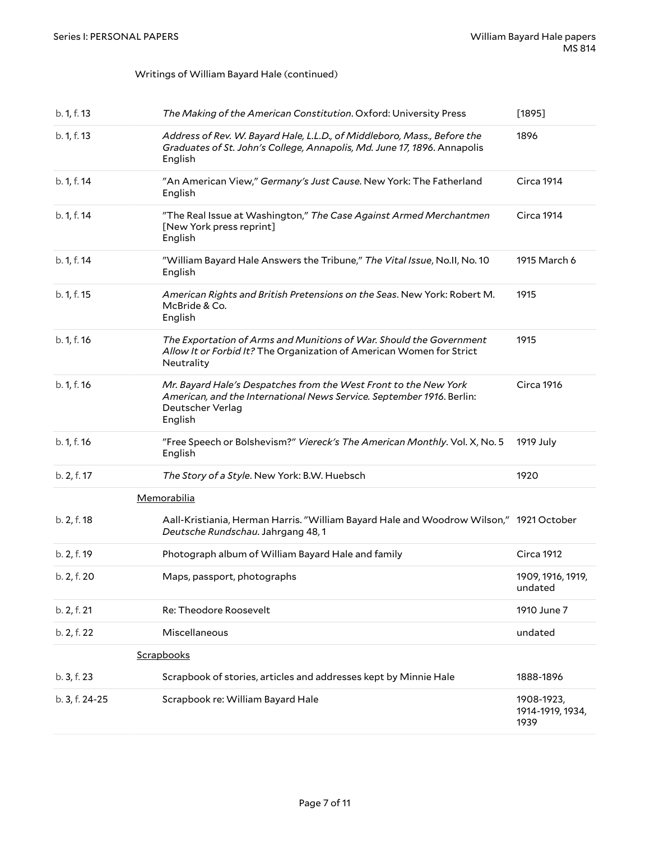#### Writings of William Bayard Hale (continued)

| b. 1, f. 13    | The Making of the American Constitution. Oxford: University Press                                                                                                        | [1895]                                 |  |  |
|----------------|--------------------------------------------------------------------------------------------------------------------------------------------------------------------------|----------------------------------------|--|--|
| b. 1, f. 13    | Address of Rev. W. Bayard Hale, L.L.D., of Middleboro, Mass., Before the<br>Graduates of St. John's College, Annapolis, Md. June 17, 1896. Annapolis<br>English          | 1896                                   |  |  |
| b. 1, f. 14    | "An American View," Germany's Just Cause. New York: The Fatherland<br>English                                                                                            | Circa 1914                             |  |  |
| b. 1, f. 14    | "The Real Issue at Washington," The Case Against Armed Merchantmen<br>[New York press reprint]<br>English                                                                | Circa 1914                             |  |  |
| b. 1, f. 14    | "William Bayard Hale Answers the Tribune," The Vital Issue, No.II, No. 10<br>English                                                                                     | 1915 March 6                           |  |  |
| b. 1, f. 15    | American Rights and British Pretensions on the Seas. New York: Robert M.<br>McBride & Co.<br>English                                                                     | 1915                                   |  |  |
| b. 1, f. 16    | The Exportation of Arms and Munitions of War. Should the Government<br>Allow It or Forbid It? The Organization of American Women for Strict<br>Neutrality                | 1915                                   |  |  |
| b. 1, f. 16    | Mr. Bayard Hale's Despatches from the West Front to the New York<br>American, and the International News Service. September 1916. Berlin:<br>Deutscher Verlag<br>English | <b>Circa 1916</b>                      |  |  |
| b. 1, f. 16    | "Free Speech or Bolshevism?" Viereck's The American Monthly. Vol. X, No. 5<br>English                                                                                    | 1919 July                              |  |  |
| b. 2, f. 17    | The Story of a Style. New York: B.W. Huebsch                                                                                                                             | 1920                                   |  |  |
|                | <b>Memorabilia</b>                                                                                                                                                       |                                        |  |  |
| b. 2, f. 18    | Aall-Kristiania, Herman Harris. "William Bayard Hale and Woodrow Wilson," 1921 October<br>Deutsche Rundschau. Jahrgang 48, 1                                             |                                        |  |  |
| b. 2, f. 19    | Photograph album of William Bayard Hale and family                                                                                                                       | <b>Circa 1912</b>                      |  |  |
| b. 2, f. 20    | Maps, passport, photographs                                                                                                                                              | 1909, 1916, 1919,<br>undated           |  |  |
| b. 2, f. 21    | Re: Theodore Roosevelt                                                                                                                                                   | 1910 June 7                            |  |  |
| b. 2, f. 22    | Miscellaneous                                                                                                                                                            | undated                                |  |  |
|                | Scrapbooks                                                                                                                                                               |                                        |  |  |
| b. 3, f. 23    | Scrapbook of stories, articles and addresses kept by Minnie Hale                                                                                                         | 1888-1896                              |  |  |
| b. 3, f. 24-25 | Scrapbook re: William Bayard Hale                                                                                                                                        | 1908-1923,<br>1914-1919, 1934,<br>1939 |  |  |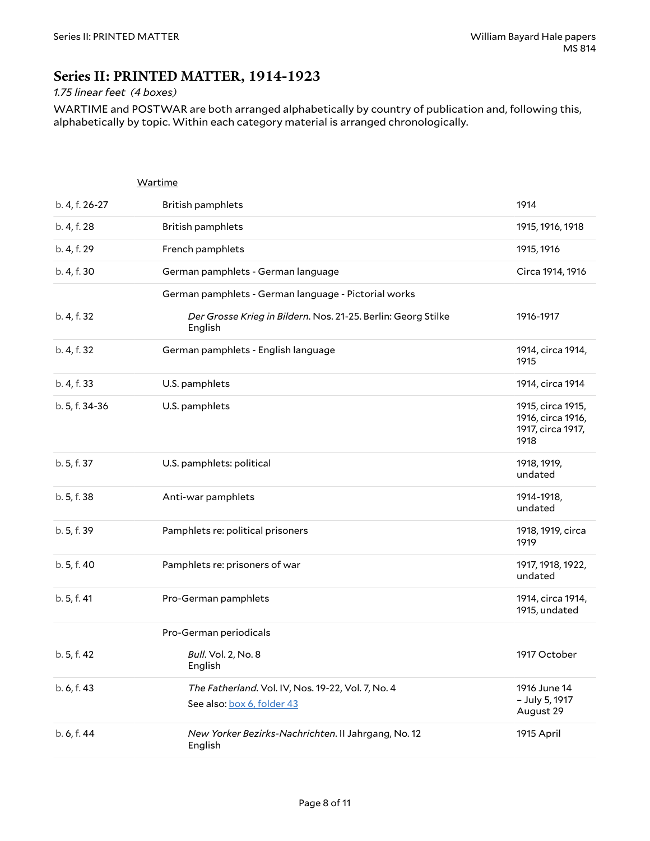### <span id="page-7-0"></span>**Series II: PRINTED MATTER, 1914-1923**

#### *1.75 linear feet (4 boxes)*

WARTIME and POSTWAR are both arranged alphabetically by country of publication and, following this, alphabetically by topic. Within each category material is arranged chronologically.

<span id="page-7-1"></span>

|                | Wartime                                                                          |                                                                     |
|----------------|----------------------------------------------------------------------------------|---------------------------------------------------------------------|
| b. 4, f. 26-27 | <b>British pamphlets</b>                                                         | 1914                                                                |
| b. 4, f. 28    | British pamphlets                                                                | 1915, 1916, 1918                                                    |
| b. 4, f. 29    | French pamphlets                                                                 | 1915, 1916                                                          |
| b. 4, f. 30    | German pamphlets - German language                                               | Circa 1914, 1916                                                    |
|                | German pamphlets - German language - Pictorial works                             |                                                                     |
| b. 4, f. 32    | Der Grosse Krieg in Bildern. Nos. 21-25. Berlin: Georg Stilke<br>English         | 1916-1917                                                           |
| b. 4, f. 32    | German pamphlets - English language                                              | 1914, circa 1914,<br>1915                                           |
| b. 4, f. 33    | U.S. pamphlets                                                                   | 1914, circa 1914                                                    |
| b. 5, f. 34-36 | U.S. pamphlets                                                                   | 1915, circa 1915,<br>1916, circa 1916,<br>1917, circa 1917,<br>1918 |
| b. 5, f. 37    | U.S. pamphlets: political                                                        | 1918, 1919,<br>undated                                              |
| b. 5, f. 38    | Anti-war pamphlets                                                               | 1914-1918,<br>undated                                               |
| b. 5, f. 39    | Pamphlets re: political prisoners                                                | 1918, 1919, circa<br>1919                                           |
| b. 5, f. 40    | Pamphlets re: prisoners of war                                                   | 1917, 1918, 1922,<br>undated                                        |
| b. 5, f. 41    | Pro-German pamphlets                                                             | 1914, circa 1914,<br>1915, undated                                  |
|                | Pro-German periodicals                                                           |                                                                     |
| b. 5, f. 42    | Bull. Vol. 2, No. 8<br>English                                                   | 1917 October                                                        |
| b. 6, f. 43    | The Fatherland. Vol. IV, Nos. 19-22, Vol. 7, No. 4<br>See also: box 6, folder 43 | 1916 June 14<br>- July 5, 1917<br>August 29                         |
| b. 6, f. 44    | New Yorker Bezirks-Nachrichten. II Jahrgang, No. 12<br>English                   | 1915 April                                                          |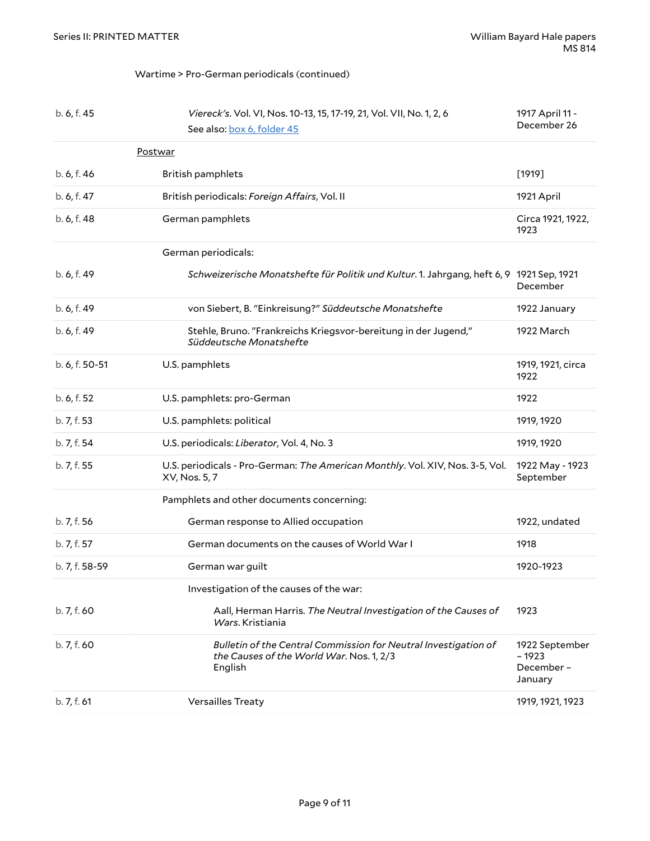#### <span id="page-8-0"></span>Wartime > Pro-German periodicals (continued)

| b. 6, f. 45    | Viereck's. Vol. VI, Nos. 10-13, 15, 17-19, 21, Vol. VII, No. 1, 2, 6<br>See also: box 6, folder 45                     | 1917 April 11 -<br>December 26                    |
|----------------|------------------------------------------------------------------------------------------------------------------------|---------------------------------------------------|
| Postwar        |                                                                                                                        |                                                   |
| b. 6, f. 46    | British pamphlets                                                                                                      | $[1919]$                                          |
| b. 6, f. 47    | British periodicals: Foreign Affairs, Vol. II                                                                          | 1921 April                                        |
| b. 6, f. 48    | German pamphlets                                                                                                       | Circa 1921, 1922,<br>1923                         |
|                | German periodicals:                                                                                                    |                                                   |
| b. 6, f. 49    | Schweizerische Monatshefte für Politik und Kultur. 1. Jahrgang, heft 6, 9 1921 Sep, 1921                               | December                                          |
| b. 6, f. 49    | von Siebert, B. "Einkreisung?" Süddeutsche Monatshefte                                                                 | 1922 January                                      |
| b. 6, f. 49    | Stehle, Bruno. "Frankreichs Kriegsvor-bereitung in der Jugend,"<br>Süddeutsche Monatshefte                             | 1922 March                                        |
| b. 6, f. 50-51 | U.S. pamphlets                                                                                                         | 1919, 1921, circa<br>1922                         |
| b. 6, f. 52    | U.S. pamphlets: pro-German                                                                                             | 1922                                              |
| b. 7, f. 53    | U.S. pamphlets: political                                                                                              | 1919, 1920                                        |
| b. 7, f. 54    | U.S. periodicals: Liberator, Vol. 4, No. 3                                                                             | 1919, 1920                                        |
| b. 7, f. 55    | U.S. periodicals - Pro-German: The American Monthly. Vol. XIV, Nos. 3-5, Vol.<br>XV, Nos. 5, 7                         | 1922 May - 1923<br>September                      |
|                | Pamphlets and other documents concerning:                                                                              |                                                   |
| b. 7, f. 56    | German response to Allied occupation                                                                                   | 1922, undated                                     |
| b. 7, f. 57    | German documents on the causes of World War I                                                                          | 1918                                              |
| b. 7, f. 58-59 | German war guilt                                                                                                       | 1920-1923                                         |
|                | Investigation of the causes of the war:                                                                                |                                                   |
| b. 7, f. 60    | Aall, Herman Harris. The Neutral Investigation of the Causes of<br>Wars, Kristiania                                    | 1923                                              |
| b.7, f.60      | Bulletin of the Central Commission for Neutral Investigation of<br>the Causes of the World War. Nos. 1, 2/3<br>English | 1922 September<br>$-1923$<br>December-<br>January |
| b. 7, f. 61    | Versailles Treaty                                                                                                      | 1919, 1921, 1923                                  |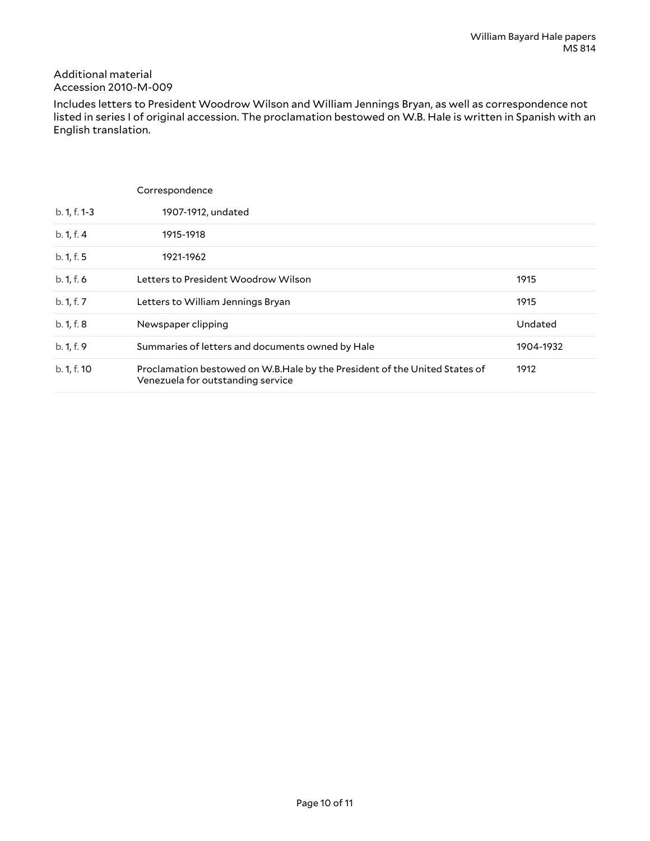#### Additional material Accession 2010-M-009

Includes letters to President Woodrow Wilson and William Jennings Bryan, as well as correspondence not listed in series I of original accession. The proclamation bestowed on W.B. Hale is written in Spanish with an English translation.

|                | Correspondence                                                                                                  |           |
|----------------|-----------------------------------------------------------------------------------------------------------------|-----------|
| $b. 1, f. 1-3$ | 1907-1912, undated                                                                                              |           |
| b. 1, f. 4     | 1915-1918                                                                                                       |           |
| b. 1, f. 5     | 1921-1962                                                                                                       |           |
| b. 1, f. 6     | Letters to President Woodrow Wilson                                                                             | 1915      |
| b. 1, f. 7     | Letters to William Jennings Bryan                                                                               | 1915      |
| b. 1, f. 8     | Newspaper clipping                                                                                              | Undated   |
| b. 1, f. 9     | Summaries of letters and documents owned by Hale                                                                | 1904-1932 |
| b. 1, f. 10    | Proclamation bestowed on W.B.Hale by the President of the United States of<br>Venezuela for outstanding service | 1912      |